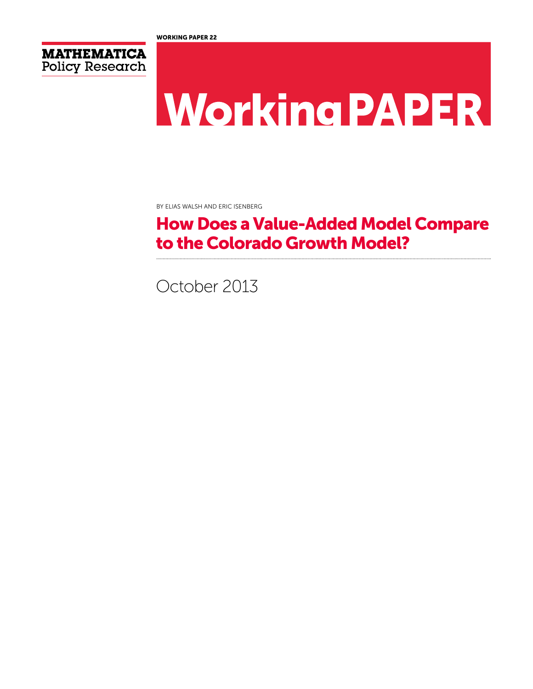



# **Working PAPER**

By Elias Walsh and Eric Isenberg

# How Does a Value-Added Model Compare to the Colorado Growth Model?

October 2013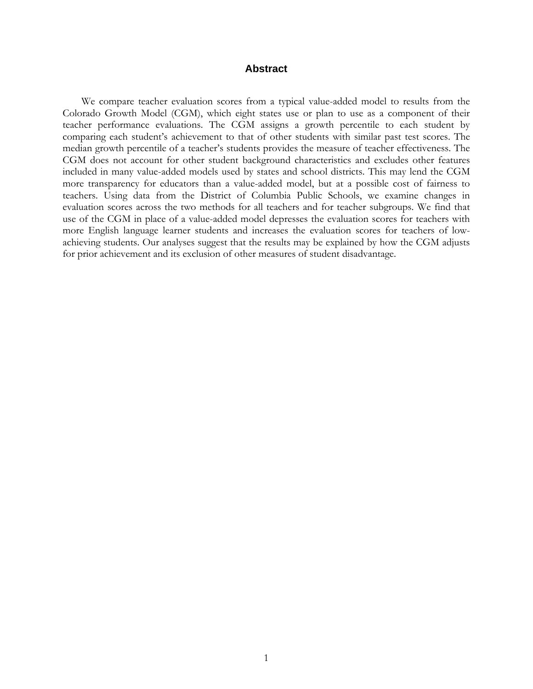#### **Abstract**

We compare teacher evaluation scores from a typical value-added model to results from the Colorado Growth Model (CGM), which eight states use or plan to use as a component of their teacher performance evaluations. The CGM assigns a growth percentile to each student by comparing each student's achievement to that of other students with similar past test scores. The median growth percentile of a teacher's students provides the measure of teacher effectiveness. The CGM does not account for other student background characteristics and excludes other features included in many value-added models used by states and school districts. This may lend the CGM more transparency for educators than a value-added model, but at a possible cost of fairness to teachers. Using data from the District of Columbia Public Schools, we examine changes in evaluation scores across the two methods for all teachers and for teacher subgroups. We find that use of the CGM in place of a value-added model depresses the evaluation scores for teachers with more English language learner students and increases the evaluation scores for teachers of lowachieving students. Our analyses suggest that the results may be explained by how the CGM adjusts for prior achievement and its exclusion of other measures of student disadvantage.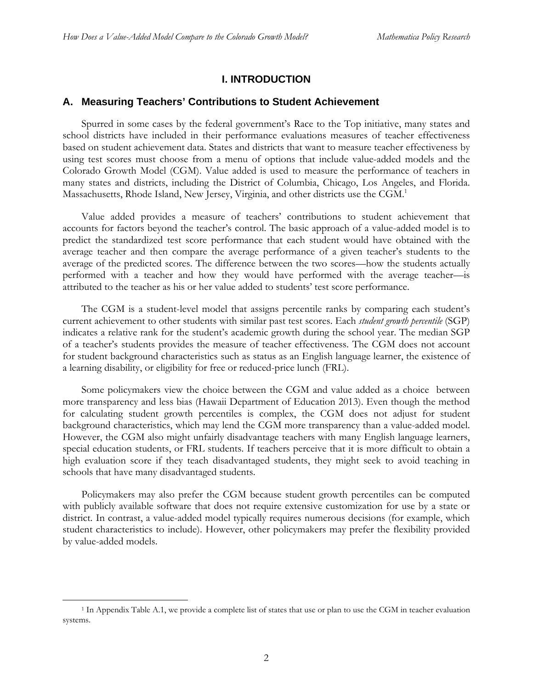# **I. INTRODUCTION**

#### **A. Measuring Teachers' Contributions to Student Achievement**

Spurred in some cases by the federal government's Race to the Top initiative, many states and school districts have included in their performance evaluations measures of teacher effectiveness based on student achievement data. States and districts that want to measure teacher effectiveness by using test scores must choose from a menu of options that include value-added models and the Colorado Growth Model (CGM). Value added is used to measure the performance of teachers in many states and districts, including the District of Columbia, Chicago, Los Angeles, and Florida. Massachusetts, Rhode Island, New Jersey, Virginia, and other districts use the CGM.<sup>1</sup>

Value added provides a measure of teachers' contributions to student achievement that accounts for factors beyond the teacher's control. The basic approach of a value-added model is to predict the standardized test score performance that each student would have obtained with the average teacher and then compare the average performance of a given teacher's students to the average of the predicted scores. The difference between the two scores—how the students actually performed with a teacher and how they would have performed with the average teacher—is attributed to the teacher as his or her value added to students' test score performance.

The CGM is a student-level model that assigns percentile ranks by comparing each student's current achievement to other students with similar past test scores. Each *student growth percentile* (SGP) indicates a relative rank for the student's academic growth during the school year. The median SGP of a teacher's students provides the measure of teacher effectiveness. The CGM does not account for student background characteristics such as status as an English language learner, the existence of a learning disability, or eligibility for free or reduced-price lunch (FRL).

Some policymakers view the choice between the CGM and value added as a choice between more transparency and less bias (Hawaii Department of Education 2013). Even though the method for calculating student growth percentiles is complex, the CGM does not adjust for student background characteristics, which may lend the CGM more transparency than a value-added model. However, the CGM also might unfairly disadvantage teachers with many English language learners, special education students, or FRL students. If teachers perceive that it is more difficult to obtain a high evaluation score if they teach disadvantaged students, they might seek to avoid teaching in schools that have many disadvantaged students.

Policymakers may also prefer the CGM because student growth percentiles can be computed with publicly available software that does not require extensive customization for use by a state or district. In contrast, a value-added model typically requires numerous decisions (for example, which student characteristics to include). However, other policymakers may prefer the flexibility provided by value-added models.

 <sup>1</sup> In Appendix Table A.1, we provide a complete list of states that use or plan to use the CGM in teacher evaluation systems.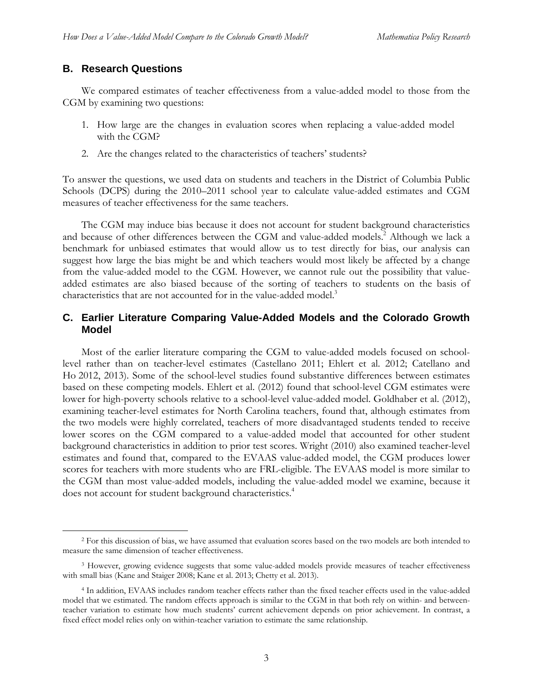# **B. Research Questions**

We compared estimates of teacher effectiveness from a value-added model to those from the CGM by examining two questions:

- 1. How large are the changes in evaluation scores when replacing a value-added model with the CGM?
- 2. Are the changes related to the characteristics of teachers' students?

To answer the questions, we used data on students and teachers in the District of Columbia Public Schools (DCPS) during the 2010–2011 school year to calculate value-added estimates and CGM measures of teacher effectiveness for the same teachers.

The CGM may induce bias because it does not account for student background characteristics and because of other differences between the CGM and value-added models.<sup>2</sup> Although we lack a benchmark for unbiased estimates that would allow us to test directly for bias, our analysis can suggest how large the bias might be and which teachers would most likely be affected by a change from the value-added model to the CGM. However, we cannot rule out the possibility that valueadded estimates are also biased because of the sorting of teachers to students on the basis of characteristics that are not accounted for in the value-added model.<sup>3</sup>

# **C. Earlier Literature Comparing Value-Added Models and the Colorado Growth Model**

Most of the earlier literature comparing the CGM to value-added models focused on schoollevel rather than on teacher-level estimates (Castellano 2011; Ehlert et al. 2012; Catellano and Ho 2012, 2013). Some of the school-level studies found substantive differences between estimates based on these competing models. Ehlert et al. (2012) found that school-level CGM estimates were lower for high-poverty schools relative to a school-level value-added model. Goldhaber et al. (2012), examining teacher-level estimates for North Carolina teachers, found that, although estimates from the two models were highly correlated, teachers of more disadvantaged students tended to receive lower scores on the CGM compared to a value-added model that accounted for other student background characteristics in addition to prior test scores. Wright (2010) also examined teacher-level estimates and found that, compared to the EVAAS value-added model, the CGM produces lower scores for teachers with more students who are FRL-eligible. The EVAAS model is more similar to the CGM than most value-added models, including the value-added model we examine, because it does not account for student background characteristics.<sup>4</sup>

<sup>&</sup>lt;sup>2</sup> For this discussion of bias, we have assumed that evaluation scores based on the two models are both intended to measure the same dimension of teacher effectiveness.

<sup>3</sup> However, growing evidence suggests that some value-added models provide measures of teacher effectiveness with small bias (Kane and Staiger 2008; Kane et al. 2013; Chetty et al. 2013).

<sup>4</sup> In addition, EVAAS includes random teacher effects rather than the fixed teacher effects used in the value-added model that we estimated. The random effects approach is similar to the CGM in that both rely on within- and betweenteacher variation to estimate how much students' current achievement depends on prior achievement. In contrast, a fixed effect model relies only on within-teacher variation to estimate the same relationship.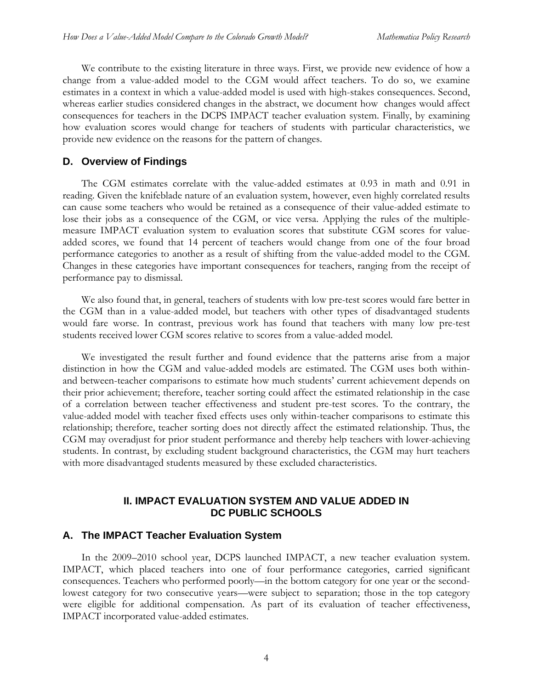We contribute to the existing literature in three ways. First, we provide new evidence of how a change from a value-added model to the CGM would affect teachers. To do so, we examine estimates in a context in which a value-added model is used with high-stakes consequences. Second, whereas earlier studies considered changes in the abstract, we document how changes would affect consequences for teachers in the DCPS IMPACT teacher evaluation system. Finally, by examining how evaluation scores would change for teachers of students with particular characteristics, we provide new evidence on the reasons for the pattern of changes.

#### **D. Overview of Findings**

The CGM estimates correlate with the value-added estimates at 0.93 in math and 0.91 in reading. Given the knifeblade nature of an evaluation system, however, even highly correlated results can cause some teachers who would be retained as a consequence of their value-added estimate to lose their jobs as a consequence of the CGM, or vice versa. Applying the rules of the multiplemeasure IMPACT evaluation system to evaluation scores that substitute CGM scores for valueadded scores, we found that 14 percent of teachers would change from one of the four broad performance categories to another as a result of shifting from the value-added model to the CGM. Changes in these categories have important consequences for teachers, ranging from the receipt of performance pay to dismissal.

We also found that, in general, teachers of students with low pre-test scores would fare better in the CGM than in a value-added model, but teachers with other types of disadvantaged students would fare worse. In contrast, previous work has found that teachers with many low pre-test students received lower CGM scores relative to scores from a value-added model.

We investigated the result further and found evidence that the patterns arise from a major distinction in how the CGM and value-added models are estimated. The CGM uses both withinand between-teacher comparisons to estimate how much students' current achievement depends on their prior achievement; therefore, teacher sorting could affect the estimated relationship in the case of a correlation between teacher effectiveness and student pre-test scores. To the contrary, the value-added model with teacher fixed effects uses only within-teacher comparisons to estimate this relationship; therefore, teacher sorting does not directly affect the estimated relationship. Thus, the CGM may overadjust for prior student performance and thereby help teachers with lower-achieving students. In contrast, by excluding student background characteristics, the CGM may hurt teachers with more disadvantaged students measured by these excluded characteristics.

# **II. IMPACT EVALUATION SYSTEM AND VALUE ADDED IN DC PUBLIC SCHOOLS**

## **A. The IMPACT Teacher Evaluation System**

In the 2009–2010 school year, DCPS launched IMPACT, a new teacher evaluation system. IMPACT, which placed teachers into one of four performance categories, carried significant consequences. Teachers who performed poorly—in the bottom category for one year or the secondlowest category for two consecutive years—were subject to separation; those in the top category were eligible for additional compensation. As part of its evaluation of teacher effectiveness, IMPACT incorporated value-added estimates.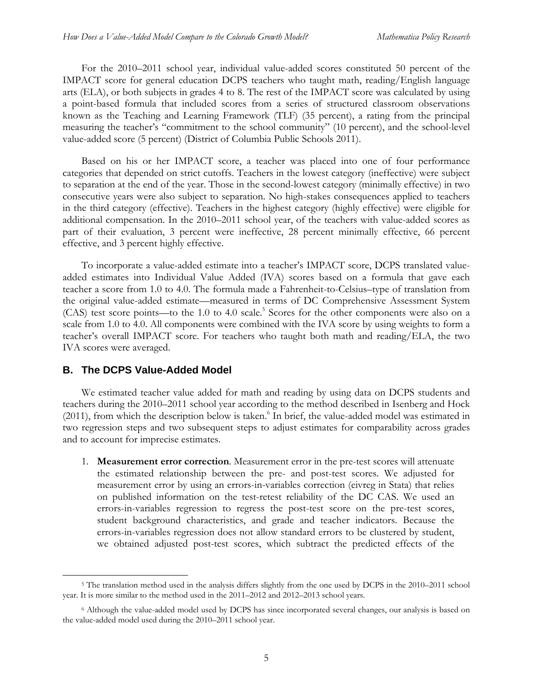For the 2010–2011 school year, individual value-added scores constituted 50 percent of the IMPACT score for general education DCPS teachers who taught math, reading/English language arts (ELA), or both subjects in grades 4 to 8. The rest of the IMPACT score was calculated by using a point-based formula that included scores from a series of structured classroom observations known as the Teaching and Learning Framework (TLF) (35 percent), a rating from the principal measuring the teacher's "commitment to the school community" (10 percent), and the school-level value-added score (5 percent) (District of Columbia Public Schools 2011).

Based on his or her IMPACT score, a teacher was placed into one of four performance categories that depended on strict cutoffs. Teachers in the lowest category (ineffective) were subject to separation at the end of the year. Those in the second-lowest category (minimally effective) in two consecutive years were also subject to separation. No high-stakes consequences applied to teachers in the third category (effective). Teachers in the highest category (highly effective) were eligible for additional compensation. In the 2010–2011 school year, of the teachers with value-added scores as part of their evaluation, 3 percent were ineffective, 28 percent minimally effective, 66 percent effective, and 3 percent highly effective.

To incorporate a value-added estimate into a teacher's IMPACT score, DCPS translated valueadded estimates into Individual Value Added (IVA) scores based on a formula that gave each teacher a score from 1.0 to 4.0. The formula made a Fahrenheit-to-Celsius–type of translation from the original value-added estimate—measured in terms of DC Comprehensive Assessment System (CAS) test score points—to the 1.0 to 4.0 scale.<sup>5</sup> Scores for the other components were also on a scale from 1.0 to 4.0. All components were combined with the IVA score by using weights to form a teacher's overall IMPACT score. For teachers who taught both math and reading/ELA, the two IVA scores were averaged.

#### **B. The DCPS Value-Added Model**

We estimated teacher value added for math and reading by using data on DCPS students and teachers during the 2010–2011 school year according to the method described in Isenberg and Hock (2011), from which the description below is taken.<sup>6</sup> In brief, the value-added model was estimated in two regression steps and two subsequent steps to adjust estimates for comparability across grades and to account for imprecise estimates.

1. **Measurement error correction**. Measurement error in the pre-test scores will attenuate the estimated relationship between the pre- and post-test scores. We adjusted for measurement error by using an errors-in-variables correction (eivreg in Stata) that relies on published information on the test-retest reliability of the DC CAS. We used an errors-in-variables regression to regress the post-test score on the pre-test scores, student background characteristics, and grade and teacher indicators. Because the errors-in-variables regression does not allow standard errors to be clustered by student, we obtained adjusted post-test scores, which subtract the predicted effects of the

<sup>&</sup>lt;sup>5</sup> The translation method used in the analysis differs slightly from the one used by DCPS in the 2010–2011 school year. It is more similar to the method used in the 2011–2012 and 2012–2013 school years.

<sup>6</sup> Although the value-added model used by DCPS has since incorporated several changes, our analysis is based on the value-added model used during the 2010–2011 school year.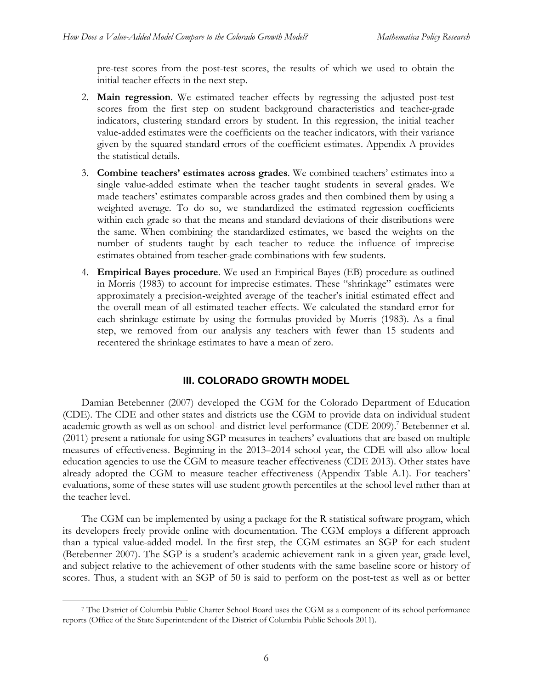pre-test scores from the post-test scores, the results of which we used to obtain the initial teacher effects in the next step.

- 2. **Main regression**. We estimated teacher effects by regressing the adjusted post-test scores from the first step on student background characteristics and teacher-grade indicators, clustering standard errors by student. In this regression, the initial teacher value-added estimates were the coefficients on the teacher indicators, with their variance given by the squared standard errors of the coefficient estimates. Appendix A provides the statistical details.
- 3. **Combine teachers' estimates across grades**. We combined teachers' estimates into a single value-added estimate when the teacher taught students in several grades. We made teachers' estimates comparable across grades and then combined them by using a weighted average. To do so, we standardized the estimated regression coefficients within each grade so that the means and standard deviations of their distributions were the same. When combining the standardized estimates, we based the weights on the number of students taught by each teacher to reduce the influence of imprecise estimates obtained from teacher-grade combinations with few students.
- 4. **Empirical Bayes procedure**. We used an Empirical Bayes (EB) procedure as outlined in Morris (1983) to account for imprecise estimates. These "shrinkage" estimates were approximately a precision-weighted average of the teacher's initial estimated effect and the overall mean of all estimated teacher effects. We calculated the standard error for each shrinkage estimate by using the formulas provided by Morris (1983). As a final step, we removed from our analysis any teachers with fewer than 15 students and recentered the shrinkage estimates to have a mean of zero.

## **III. COLORADO GROWTH MODEL**

Damian Betebenner (2007) developed the CGM for the Colorado Department of Education (CDE). The CDE and other states and districts use the CGM to provide data on individual student academic growth as well as on school- and district-level performance (CDE 2009).<sup>7</sup> Betebenner et al. (2011) present a rationale for using SGP measures in teachers' evaluations that are based on multiple measures of effectiveness. Beginning in the 2013–2014 school year, the CDE will also allow local education agencies to use the CGM to measure teacher effectiveness (CDE 2013). Other states have already adopted the CGM to measure teacher effectiveness (Appendix Table A.1). For teachers' evaluations, some of these states will use student growth percentiles at the school level rather than at the teacher level.

The CGM can be implemented by using a package for the R statistical software program, which its developers freely provide online with documentation. The CGM employs a different approach than a typical value-added model. In the first step, the CGM estimates an SGP for each student (Betebenner 2007). The SGP is a student's academic achievement rank in a given year, grade level, and subject relative to the achievement of other students with the same baseline score or history of scores. Thus, a student with an SGP of 50 is said to perform on the post-test as well as or better

 <sup>7</sup> The District of Columbia Public Charter School Board uses the CGM as a component of its school performance reports (Office of the State Superintendent of the District of Columbia Public Schools 2011).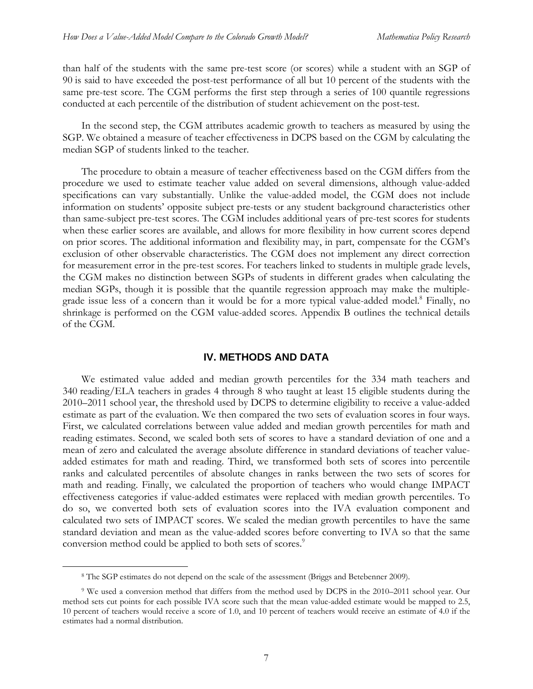than half of the students with the same pre-test score (or scores) while a student with an SGP of 90 is said to have exceeded the post-test performance of all but 10 percent of the students with the same pre-test score. The CGM performs the first step through a series of 100 quantile regressions conducted at each percentile of the distribution of student achievement on the post-test.

In the second step, the CGM attributes academic growth to teachers as measured by using the SGP. We obtained a measure of teacher effectiveness in DCPS based on the CGM by calculating the median SGP of students linked to the teacher.

The procedure to obtain a measure of teacher effectiveness based on the CGM differs from the procedure we used to estimate teacher value added on several dimensions, although value-added specifications can vary substantially. Unlike the value-added model, the CGM does not include information on students' opposite subject pre-tests or any student background characteristics other than same-subject pre-test scores. The CGM includes additional years of pre-test scores for students when these earlier scores are available, and allows for more flexibility in how current scores depend on prior scores. The additional information and flexibility may, in part, compensate for the CGM's exclusion of other observable characteristics. The CGM does not implement any direct correction for measurement error in the pre-test scores. For teachers linked to students in multiple grade levels, the CGM makes no distinction between SGPs of students in different grades when calculating the median SGPs, though it is possible that the quantile regression approach may make the multiplegrade issue less of a concern than it would be for a more typical value-added model.<sup>8</sup> Finally, no shrinkage is performed on the CGM value-added scores. Appendix B outlines the technical details of the CGM.

#### **IV. METHODS AND DATA**

We estimated value added and median growth percentiles for the 334 math teachers and 340 reading/ELA teachers in grades 4 through 8 who taught at least 15 eligible students during the 2010–2011 school year, the threshold used by DCPS to determine eligibility to receive a value-added estimate as part of the evaluation. We then compared the two sets of evaluation scores in four ways. First, we calculated correlations between value added and median growth percentiles for math and reading estimates. Second, we scaled both sets of scores to have a standard deviation of one and a mean of zero and calculated the average absolute difference in standard deviations of teacher valueadded estimates for math and reading. Third, we transformed both sets of scores into percentile ranks and calculated percentiles of absolute changes in ranks between the two sets of scores for math and reading. Finally, we calculated the proportion of teachers who would change IMPACT effectiveness categories if value-added estimates were replaced with median growth percentiles. To do so, we converted both sets of evaluation scores into the IVA evaluation component and calculated two sets of IMPACT scores. We scaled the median growth percentiles to have the same standard deviation and mean as the value-added scores before converting to IVA so that the same conversion method could be applied to both sets of scores.<sup>9</sup>

 <sup>8</sup> The SGP estimates do not depend on the scale of the assessment (Briggs and Betebenner 2009).

<sup>9</sup> We used a conversion method that differs from the method used by DCPS in the 2010–2011 school year. Our method sets cut points for each possible IVA score such that the mean value-added estimate would be mapped to 2.5, 10 percent of teachers would receive a score of 1.0, and 10 percent of teachers would receive an estimate of 4.0 if the estimates had a normal distribution.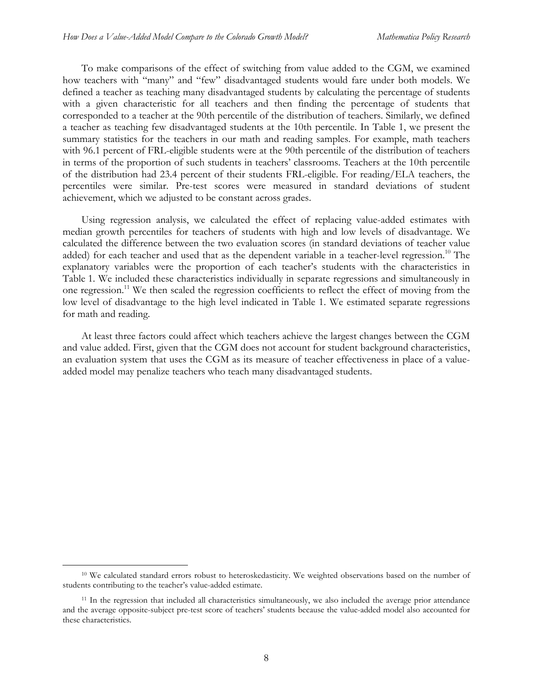To make comparisons of the effect of switching from value added to the CGM, we examined how teachers with "many" and "few" disadvantaged students would fare under both models. We defined a teacher as teaching many disadvantaged students by calculating the percentage of students with a given characteristic for all teachers and then finding the percentage of students that corresponded to a teacher at the 90th percentile of the distribution of teachers. Similarly, we defined a teacher as teaching few disadvantaged students at the 10th percentile. In Table 1, we present the summary statistics for the teachers in our math and reading samples. For example, math teachers with 96.1 percent of FRL-eligible students were at the 90th percentile of the distribution of teachers in terms of the proportion of such students in teachers' classrooms. Teachers at the 10th percentile of the distribution had 23.4 percent of their students FRL-eligible. For reading/ELA teachers, the percentiles were similar. Pre-test scores were measured in standard deviations of student achievement, which we adjusted to be constant across grades.

Using regression analysis, we calculated the effect of replacing value-added estimates with median growth percentiles for teachers of students with high and low levels of disadvantage. We calculated the difference between the two evaluation scores (in standard deviations of teacher value added) for each teacher and used that as the dependent variable in a teacher-level regression.<sup>10</sup> The explanatory variables were the proportion of each teacher's students with the characteristics in Table 1. We included these characteristics individually in separate regressions and simultaneously in one regression.<sup>11</sup> We then scaled the regression coefficients to reflect the effect of moving from the low level of disadvantage to the high level indicated in Table 1. We estimated separate regressions for math and reading.

At least three factors could affect which teachers achieve the largest changes between the CGM and value added. First, given that the CGM does not account for student background characteristics, an evaluation system that uses the CGM as its measure of teacher effectiveness in place of a valueadded model may penalize teachers who teach many disadvantaged students.

<sup>&</sup>lt;sup>10</sup> We calculated standard errors robust to heteroskedasticity. We weighted observations based on the number of students contributing to the teacher's value-added estimate.

<sup>&</sup>lt;sup>11</sup> In the regression that included all characteristics simultaneously, we also included the average prior attendance and the average opposite-subject pre-test score of teachers' students because the value-added model also accounted for these characteristics.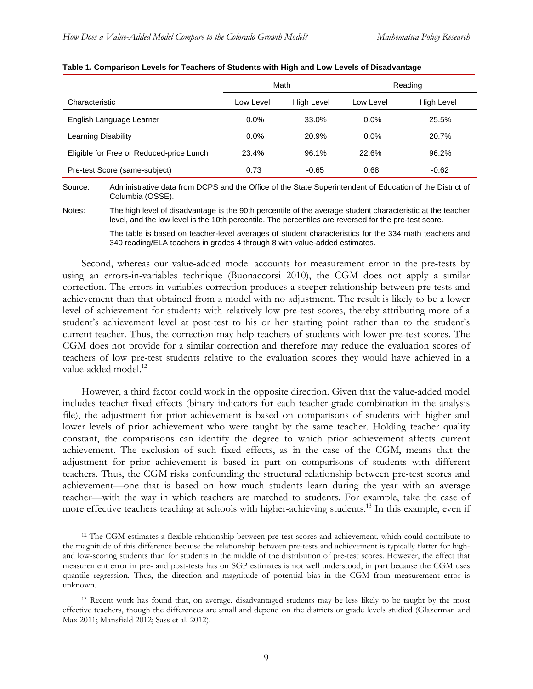|                                          | Math      |            | Reading   |            |
|------------------------------------------|-----------|------------|-----------|------------|
| Characteristic                           | Low Level | High Level | Low Level | High Level |
| English Language Learner                 | $0.0\%$   | 33.0%      | $0.0\%$   | 25.5%      |
| Learning Disability                      | $0.0\%$   | 20.9%      | $0.0\%$   | 20.7%      |
| Eligible for Free or Reduced-price Lunch | 23.4%     | 96.1%      | 22.6%     | 96.2%      |
| Pre-test Score (same-subject)            | 0.73      | $-0.65$    | 0.68      | $-0.62$    |

#### **Table 1. Comparison Levels for Teachers of Students with High and Low Levels of Disadvantage**

Source: Administrative data from DCPS and the Office of the State Superintendent of Education of the District of Columbia (OSSE).

Notes: The high level of disadvantage is the 90th percentile of the average student characteristic at the teacher level, and the low level is the 10th percentile. The percentiles are reversed for the pre-test score.

> The table is based on teacher-level averages of student characteristics for the 334 math teachers and 340 reading/ELA teachers in grades 4 through 8 with value-added estimates.

Second, whereas our value-added model accounts for measurement error in the pre-tests by using an errors-in-variables technique (Buonaccorsi 2010), the CGM does not apply a similar correction. The errors-in-variables correction produces a steeper relationship between pre-tests and achievement than that obtained from a model with no adjustment. The result is likely to be a lower level of achievement for students with relatively low pre-test scores, thereby attributing more of a student's achievement level at post-test to his or her starting point rather than to the student's current teacher. Thus, the correction may help teachers of students with lower pre-test scores. The CGM does not provide for a similar correction and therefore may reduce the evaluation scores of teachers of low pre-test students relative to the evaluation scores they would have achieved in a value-added model.<sup>12</sup>

However, a third factor could work in the opposite direction. Given that the value-added model includes teacher fixed effects (binary indicators for each teacher-grade combination in the analysis file), the adjustment for prior achievement is based on comparisons of students with higher and lower levels of prior achievement who were taught by the same teacher. Holding teacher quality constant, the comparisons can identify the degree to which prior achievement affects current achievement. The exclusion of such fixed effects, as in the case of the CGM, means that the adjustment for prior achievement is based in part on comparisons of students with different teachers. Thus, the CGM risks confounding the structural relationship between pre-test scores and achievement—one that is based on how much students learn during the year with an average teacher—with the way in which teachers are matched to students. For example, take the case of more effective teachers teaching at schools with higher-achieving students.<sup>13</sup> In this example, even if

 <sup>12</sup> The CGM estimates a flexible relationship between pre-test scores and achievement, which could contribute to the magnitude of this difference because the relationship between pre-tests and achievement is typically flatter for highand low-scoring students than for students in the middle of the distribution of pre-test scores. However, the effect that measurement error in pre- and post-tests has on SGP estimates is not well understood, in part because the CGM uses quantile regression. Thus, the direction and magnitude of potential bias in the CGM from measurement error is unknown.

<sup>&</sup>lt;sup>13</sup> Recent work has found that, on average, disadvantaged students may be less likely to be taught by the most effective teachers, though the differences are small and depend on the districts or grade levels studied (Glazerman and Max 2011; Mansfield 2012; Sass et al. 2012).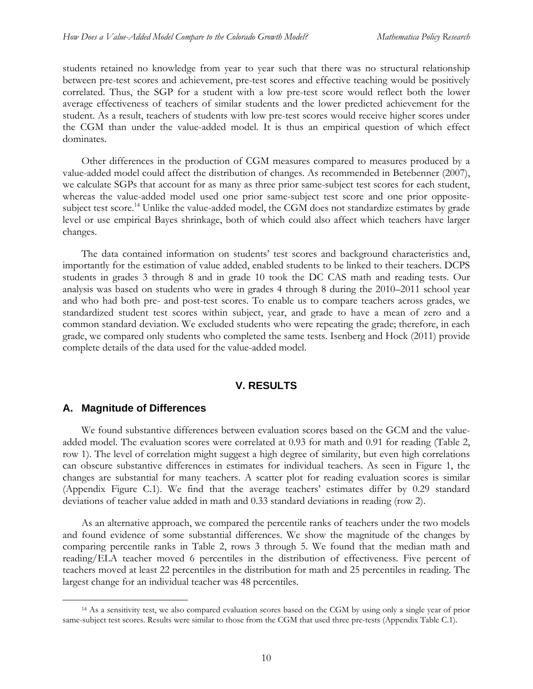students retained no knowledge from year to year such that there was no structural relationship between pre-test scores and achievement, pre-test scores and effective teaching would be positively correlated. Thus, the SGP for a student with a low pre-test score would reflect both the lower average effectiveness of teachers of similar students and the lower predicted achievement for the student. As a result, teachers of students with low pre-test scores would receive higher scores under the CGM than under the value-added model. It is thus an empirical question of which effect dominates.

Other differences in the production of CGM measures compared to measures produced by a value-added model could affect the distribution of changes. As recommended in Betebenner (2007), we calculate SGPs that account for as many as three prior same-subject test scores for each student, whereas the value-added model used one prior same-subject test score and one prior oppositesubject test score.<sup>14</sup> Unlike the value-added model, the CGM does not standardize estimates by grade level or use empirical Bayes shrinkage, both of which could also affect which teachers have larger changes.

The data contained information on students' test scores and background characteristics and, importantly for the estimation of value added, enabled students to be linked to their teachers. DCPS students in grades 3 through 8 and in grade 10 took the DC CAS math and reading tests. Our analysis was based on students who were in grades 4 through 8 during the 2010–2011 school year and who had both pre- and post-test scores. To enable us to compare teachers across grades, we standardized student test scores within subject, year, and grade to have a mean of zero and a common standard deviation. We excluded students who were repeating the grade; therefore, in each grade, we compared only students who completed the same tests. Isenberg and Hock (2011) provide complete details of the data used for the value-added model.

#### **V. RESULTS**

#### **A. Magnitude of Differences**

We found substantive differences between evaluation scores based on the GCM and the valueadded model. The evaluation scores were correlated at 0.93 for math and 0.91 for reading (Table 2, row 1). The level of correlation might suggest a high degree of similarity, but even high correlations can obscure substantive differences in estimates for individual teachers. As seen in Figure 1, the changes are substantial for many teachers. A scatter plot for reading evaluation scores is similar (Appendix Figure C.1). We find that the average teachers' estimates differ by 0.29 standard deviations of teacher value added in math and 0.33 standard deviations in reading (row 2).

As an alternative approach, we compared the percentile ranks of teachers under the two models and found evidence of some substantial differences. We show the magnitude of the changes by comparing percentile ranks in Table 2, rows 3 through 5. We found that the median math and reading/ELA teacher moved 6 percentiles in the distribution of effectiveness. Five percent of teachers moved at least 22 percentiles in the distribution for math and 25 percentiles in reading. The largest change for an individual teacher was 48 percentiles.

<sup>&</sup>lt;sup>14</sup> As a sensitivity test, we also compared evaluation scores based on the CGM by using only a single year of prior same-subject test scores. Results were similar to those from the CGM that used three pre-tests (Appendix Table C.1).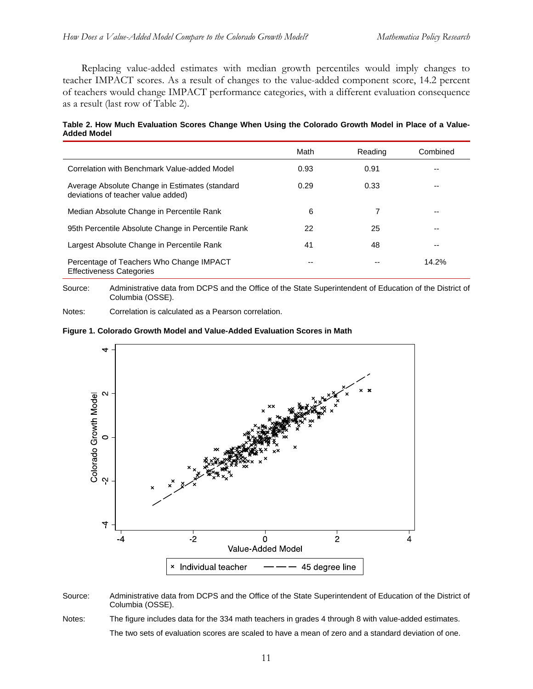Replacing value-added estimates with median growth percentiles would imply changes to teacher IMPACT scores. As a result of changes to the value-added component score, 14.2 percent of teachers would change IMPACT performance categories, with a different evaluation consequence as a result (last row of Table 2).

**Table 2. How Much Evaluation Scores Change When Using the Colorado Growth Model in Place of a Value-Added Model** 

|                                                                                      | Math | Reading | Combined |
|--------------------------------------------------------------------------------------|------|---------|----------|
| Correlation with Benchmark Value-added Model                                         | 0.93 | 0.91    |          |
| Average Absolute Change in Estimates (standard<br>deviations of teacher value added) | 0.29 | 0.33    | --       |
| Median Absolute Change in Percentile Rank                                            | 6    |         | --       |
| 95th Percentile Absolute Change in Percentile Rank                                   | 22   | 25      | --       |
| Largest Absolute Change in Percentile Rank                                           | 41   | 48      | --       |
| Percentage of Teachers Who Change IMPACT<br><b>Effectiveness Categories</b>          |      |         | 14.2%    |

Source: Administrative data from DCPS and the Office of the State Superintendent of Education of the District of Columbia (OSSE).

Notes: Correlation is calculated as a Pearson correlation.





Source: Administrative data from DCPS and the Office of the State Superintendent of Education of the District of Columbia (OSSE).

Notes: The figure includes data for the 334 math teachers in grades 4 through 8 with value-added estimates. The two sets of evaluation scores are scaled to have a mean of zero and a standard deviation of one.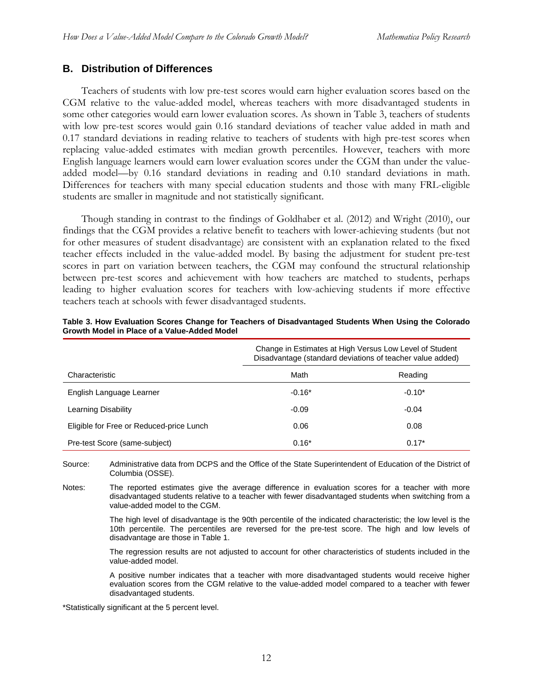# **B. Distribution of Differences**

Teachers of students with low pre-test scores would earn higher evaluation scores based on the CGM relative to the value-added model, whereas teachers with more disadvantaged students in some other categories would earn lower evaluation scores. As shown in Table 3, teachers of students with low pre-test scores would gain 0.16 standard deviations of teacher value added in math and 0.17 standard deviations in reading relative to teachers of students with high pre-test scores when replacing value-added estimates with median growth percentiles. However, teachers with more English language learners would earn lower evaluation scores under the CGM than under the valueadded model—by 0.16 standard deviations in reading and 0.10 standard deviations in math. Differences for teachers with many special education students and those with many FRL-eligible students are smaller in magnitude and not statistically significant.

Though standing in contrast to the findings of Goldhaber et al. (2012) and Wright (2010), our findings that the CGM provides a relative benefit to teachers with lower-achieving students (but not for other measures of student disadvantage) are consistent with an explanation related to the fixed teacher effects included in the value-added model. By basing the adjustment for student pre-test scores in part on variation between teachers, the CGM may confound the structural relationship between pre-test scores and achievement with how teachers are matched to students, perhaps leading to higher evaluation scores for teachers with low-achieving students if more effective teachers teach at schools with fewer disadvantaged students.

|                                          | Change in Estimates at High Versus Low Level of Student<br>Disadvantage (standard deviations of teacher value added) |          |  |
|------------------------------------------|----------------------------------------------------------------------------------------------------------------------|----------|--|
| Characteristic                           | Math                                                                                                                 | Reading  |  |
| English Language Learner                 | $-0.16*$                                                                                                             | $-0.10*$ |  |
| Learning Disability                      | $-0.09$                                                                                                              | $-0.04$  |  |
| Eligible for Free or Reduced-price Lunch | 0.06                                                                                                                 | 0.08     |  |
| Pre-test Score (same-subject)            | $0.16*$                                                                                                              | $0.17*$  |  |

| Table 3. How Evaluation Scores Change for Teachers of Disadvantaged Students When Using the Colorado |  |  |  |
|------------------------------------------------------------------------------------------------------|--|--|--|
| Growth Model in Place of a Value-Added Model                                                         |  |  |  |

Source: Administrative data from DCPS and the Office of the State Superintendent of Education of the District of Columbia (OSSE).

Notes: The reported estimates give the average difference in evaluation scores for a teacher with more disadvantaged students relative to a teacher with fewer disadvantaged students when switching from a value-added model to the CGM.

> The high level of disadvantage is the 90th percentile of the indicated characteristic; the low level is the 10th percentile. The percentiles are reversed for the pre-test score. The high and low levels of disadvantage are those in Table 1.

> The regression results are not adjusted to account for other characteristics of students included in the value-added model.

> A positive number indicates that a teacher with more disadvantaged students would receive higher evaluation scores from the CGM relative to the value-added model compared to a teacher with fewer disadvantaged students.

\*Statistically significant at the 5 percent level.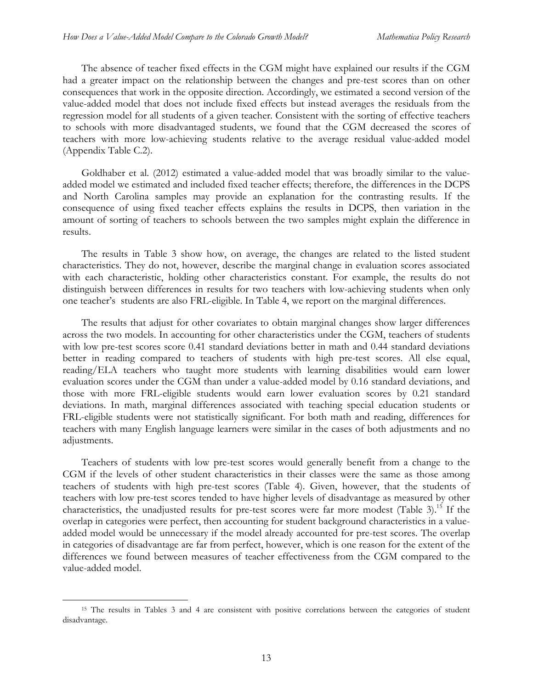The absence of teacher fixed effects in the CGM might have explained our results if the CGM had a greater impact on the relationship between the changes and pre-test scores than on other consequences that work in the opposite direction. Accordingly, we estimated a second version of the value-added model that does not include fixed effects but instead averages the residuals from the regression model for all students of a given teacher. Consistent with the sorting of effective teachers to schools with more disadvantaged students, we found that the CGM decreased the scores of teachers with more low-achieving students relative to the average residual value-added model (Appendix Table C.2).

Goldhaber et al. (2012) estimated a value-added model that was broadly similar to the valueadded model we estimated and included fixed teacher effects; therefore, the differences in the DCPS and North Carolina samples may provide an explanation for the contrasting results. If the consequence of using fixed teacher effects explains the results in DCPS, then variation in the amount of sorting of teachers to schools between the two samples might explain the difference in results.

The results in Table 3 show how, on average, the changes are related to the listed student characteristics. They do not, however, describe the marginal change in evaluation scores associated with each characteristic, holding other characteristics constant. For example, the results do not distinguish between differences in results for two teachers with low-achieving students when only one teacher's students are also FRL-eligible. In Table 4, we report on the marginal differences.

The results that adjust for other covariates to obtain marginal changes show larger differences across the two models. In accounting for other characteristics under the CGM, teachers of students with low pre-test scores score 0.41 standard deviations better in math and 0.44 standard deviations better in reading compared to teachers of students with high pre-test scores. All else equal, reading/ELA teachers who taught more students with learning disabilities would earn lower evaluation scores under the CGM than under a value-added model by 0.16 standard deviations, and those with more FRL-eligible students would earn lower evaluation scores by 0.21 standard deviations. In math, marginal differences associated with teaching special education students or FRL-eligible students were not statistically significant. For both math and reading, differences for teachers with many English language learners were similar in the cases of both adjustments and no adjustments.

Teachers of students with low pre-test scores would generally benefit from a change to the CGM if the levels of other student characteristics in their classes were the same as those among teachers of students with high pre-test scores (Table 4). Given, however, that the students of teachers with low pre-test scores tended to have higher levels of disadvantage as measured by other characteristics, the unadjusted results for pre-test scores were far more modest (Table 3).<sup>15</sup> If the overlap in categories were perfect, then accounting for student background characteristics in a valueadded model would be unnecessary if the model already accounted for pre-test scores. The overlap in categories of disadvantage are far from perfect, however, which is one reason for the extent of the differences we found between measures of teacher effectiveness from the CGM compared to the value-added model.

 <sup>15</sup> The results in Tables 3 and 4 are consistent with positive correlations between the categories of student disadvantage.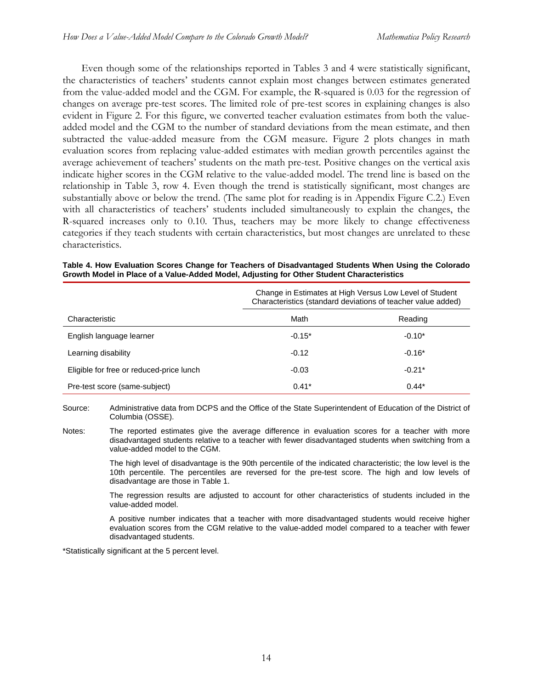Even though some of the relationships reported in Tables 3 and 4 were statistically significant, the characteristics of teachers' students cannot explain most changes between estimates generated from the value-added model and the CGM. For example, the R-squared is 0.03 for the regression of changes on average pre-test scores. The limited role of pre-test scores in explaining changes is also evident in Figure 2. For this figure, we converted teacher evaluation estimates from both the valueadded model and the CGM to the number of standard deviations from the mean estimate, and then subtracted the value-added measure from the CGM measure. Figure 2 plots changes in math evaluation scores from replacing value-added estimates with median growth percentiles against the average achievement of teachers' students on the math pre-test. Positive changes on the vertical axis indicate higher scores in the CGM relative to the value-added model. The trend line is based on the relationship in Table 3, row 4. Even though the trend is statistically significant, most changes are substantially above or below the trend. (The same plot for reading is in Appendix Figure C.2.) Even with all characteristics of teachers' students included simultaneously to explain the changes, the R-squared increases only to 0.10. Thus, teachers may be more likely to change effectiveness categories if they teach students with certain characteristics, but most changes are unrelated to these characteristics.

|                                          | Change in Estimates at High Versus Low Level of Student<br>Characteristics (standard deviations of teacher value added) |          |  |
|------------------------------------------|-------------------------------------------------------------------------------------------------------------------------|----------|--|
| Characteristic                           | Math                                                                                                                    | Reading  |  |
| English language learner                 | $-0.15*$                                                                                                                | $-0.10*$ |  |
| Learning disability                      | $-0.12$                                                                                                                 | $-0.16*$ |  |
| Eligible for free or reduced-price lunch | $-0.03$                                                                                                                 | $-0.21*$ |  |
| Pre-test score (same-subject)            | $0.41*$                                                                                                                 | $0.44*$  |  |

**Table 4. How Evaluation Scores Change for Teachers of Disadvantaged Students When Using the Colorado Growth Model in Place of a Value-Added Model, Adjusting for Other Student Characteristics** 

Source: Administrative data from DCPS and the Office of the State Superintendent of Education of the District of Columbia (OSSE).

Notes: The reported estimates give the average difference in evaluation scores for a teacher with more disadvantaged students relative to a teacher with fewer disadvantaged students when switching from a value-added model to the CGM.

> The high level of disadvantage is the 90th percentile of the indicated characteristic; the low level is the 10th percentile. The percentiles are reversed for the pre-test score. The high and low levels of disadvantage are those in Table 1.

> The regression results are adjusted to account for other characteristics of students included in the value-added model.

> A positive number indicates that a teacher with more disadvantaged students would receive higher evaluation scores from the CGM relative to the value-added model compared to a teacher with fewer disadvantaged students.

\*Statistically significant at the 5 percent level.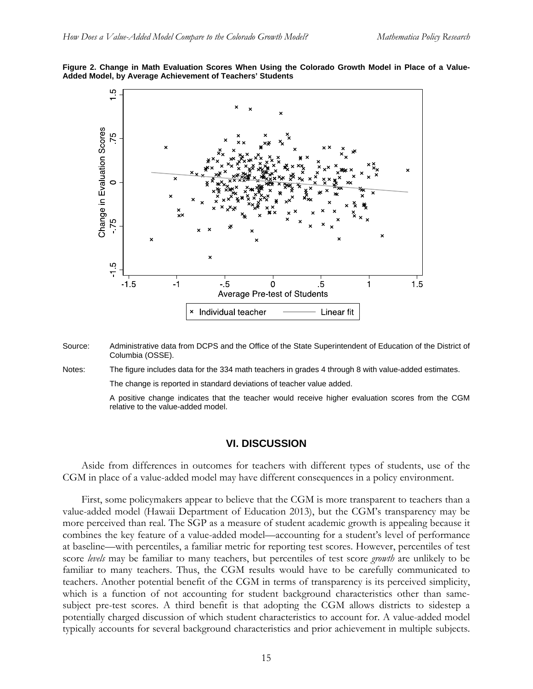



- Source: Administrative data from DCPS and the Office of the State Superintendent of Education of the District of Columbia (OSSE).
- Notes: The figure includes data for the 334 math teachers in grades 4 through 8 with value-added estimates.

The change is reported in standard deviations of teacher value added.

 A positive change indicates that the teacher would receive higher evaluation scores from the CGM relative to the value-added model.

#### **VI. DISCUSSION**

Aside from differences in outcomes for teachers with different types of students, use of the CGM in place of a value-added model may have different consequences in a policy environment.

First, some policymakers appear to believe that the CGM is more transparent to teachers than a value-added model (Hawaii Department of Education 2013), but the CGM's transparency may be more perceived than real. The SGP as a measure of student academic growth is appealing because it combines the key feature of a value-added model—accounting for a student's level of performance at baseline—with percentiles, a familiar metric for reporting test scores. However, percentiles of test score *levels* may be familiar to many teachers, but percentiles of test score *growth* are unlikely to be familiar to many teachers. Thus, the CGM results would have to be carefully communicated to teachers. Another potential benefit of the CGM in terms of transparency is its perceived simplicity, which is a function of not accounting for student background characteristics other than samesubject pre-test scores. A third benefit is that adopting the CGM allows districts to sidestep a potentially charged discussion of which student characteristics to account for. A value-added model typically accounts for several background characteristics and prior achievement in multiple subjects.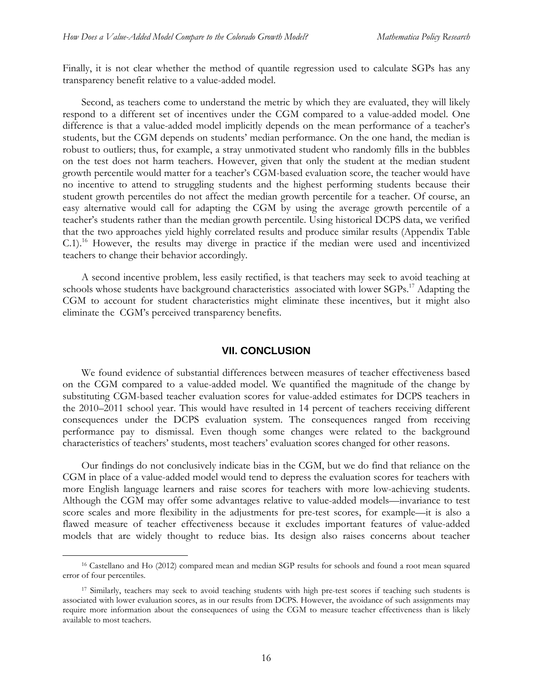Finally, it is not clear whether the method of quantile regression used to calculate SGPs has any transparency benefit relative to a value-added model.

Second, as teachers come to understand the metric by which they are evaluated, they will likely respond to a different set of incentives under the CGM compared to a value-added model. One difference is that a value-added model implicitly depends on the mean performance of a teacher's students, but the CGM depends on students' median performance. On the one hand, the median is robust to outliers; thus, for example, a stray unmotivated student who randomly fills in the bubbles on the test does not harm teachers. However, given that only the student at the median student growth percentile would matter for a teacher's CGM-based evaluation score, the teacher would have no incentive to attend to struggling students and the highest performing students because their student growth percentiles do not affect the median growth percentile for a teacher. Of course, an easy alternative would call for adapting the CGM by using the average growth percentile of a teacher's students rather than the median growth percentile. Using historical DCPS data, we verified that the two approaches yield highly correlated results and produce similar results (Appendix Table C.1).<sup>16</sup> However, the results may diverge in practice if the median were used and incentivized teachers to change their behavior accordingly.

A second incentive problem, less easily rectified, is that teachers may seek to avoid teaching at schools whose students have background characteristics associated with lower SGPs.<sup>17</sup> Adapting the CGM to account for student characteristics might eliminate these incentives, but it might also eliminate the CGM's perceived transparency benefits.

#### **VII. CONCLUSION**

We found evidence of substantial differences between measures of teacher effectiveness based on the CGM compared to a value-added model. We quantified the magnitude of the change by substituting CGM-based teacher evaluation scores for value-added estimates for DCPS teachers in the 2010–2011 school year. This would have resulted in 14 percent of teachers receiving different consequences under the DCPS evaluation system. The consequences ranged from receiving performance pay to dismissal. Even though some changes were related to the background characteristics of teachers' students, most teachers' evaluation scores changed for other reasons.

Our findings do not conclusively indicate bias in the CGM, but we do find that reliance on the CGM in place of a value-added model would tend to depress the evaluation scores for teachers with more English language learners and raise scores for teachers with more low-achieving students. Although the CGM may offer some advantages relative to value-added models—invariance to test score scales and more flexibility in the adjustments for pre-test scores, for example—it is also a flawed measure of teacher effectiveness because it excludes important features of value-added models that are widely thought to reduce bias. Its design also raises concerns about teacher

 <sup>16</sup> Castellano and Ho (2012) compared mean and median SGP results for schools and found a root mean squared error of four percentiles.

<sup>&</sup>lt;sup>17</sup> Similarly, teachers may seek to avoid teaching students with high pre-test scores if teaching such students is associated with lower evaluation scores, as in our results from DCPS. However, the avoidance of such assignments may require more information about the consequences of using the CGM to measure teacher effectiveness than is likely available to most teachers.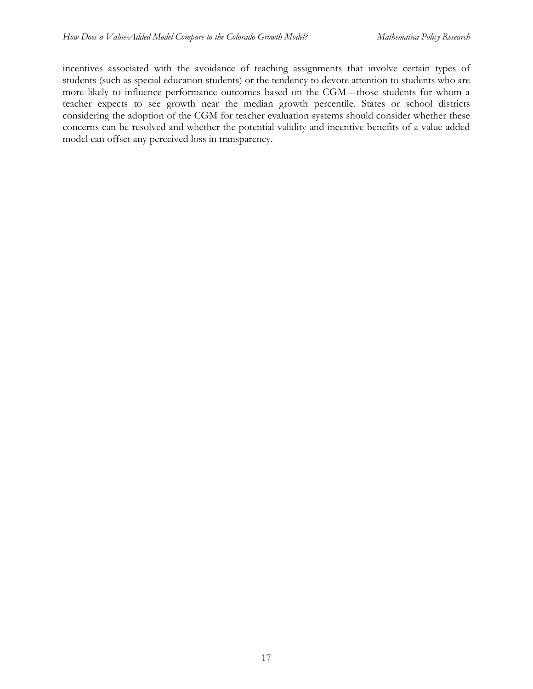incentives associated with the avoidance of teaching assignments that involve certain types of students (such as special education students) or the tendency to devote attention to students who are more likely to influence performance outcomes based on the CGM—those students for whom a teacher expects to see growth near the median growth percentile. States or school districts considering the adoption of the CGM for teacher evaluation systems should consider whether these concerns can be resolved and whether the potential validity and incentive benefits of a value-added model can offset any perceived loss in transparency.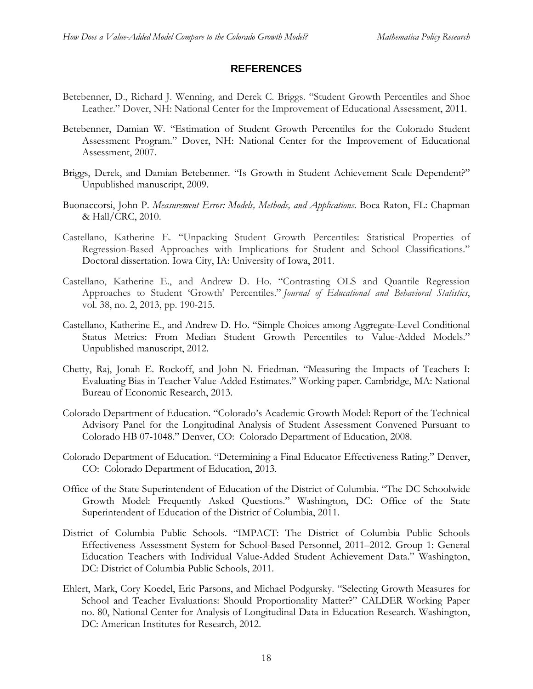# **REFERENCES**

- Betebenner, D., Richard J. Wenning, and Derek C. Briggs. "Student Growth Percentiles and Shoe Leather." Dover, NH: National Center for the Improvement of Educational Assessment, 2011.
- Betebenner, Damian W. "Estimation of Student Growth Percentiles for the Colorado Student Assessment Program." Dover, NH: National Center for the Improvement of Educational Assessment, 2007.
- Briggs, Derek, and Damian Betebenner. "Is Growth in Student Achievement Scale Dependent?" Unpublished manuscript, 2009.
- Buonaccorsi, John P. *Measurement Error: Models, Methods, and Applications*. Boca Raton, FL: Chapman & Hall/CRC, 2010.
- Castellano, Katherine E. "Unpacking Student Growth Percentiles: Statistical Properties of Regression-Based Approaches with Implications for Student and School Classifications." Doctoral dissertation. Iowa City, IA: University of Iowa, 2011.
- Castellano, Katherine E., and Andrew D. Ho. "Contrasting OLS and Quantile Regression Approaches to Student 'Growth' Percentiles." *Journal of Educational and Behavioral Statistics*, vol. 38, no. 2, 2013, pp. 190-215.
- Castellano, Katherine E., and Andrew D. Ho. "Simple Choices among Aggregate-Level Conditional Status Metrics: From Median Student Growth Percentiles to Value-Added Models." Unpublished manuscript, 2012.
- Chetty, Raj, Jonah E. Rockoff, and John N. Friedman. "Measuring the Impacts of Teachers I: Evaluating Bias in Teacher Value-Added Estimates." Working paper. Cambridge, MA: National Bureau of Economic Research, 2013.
- Colorado Department of Education. "Colorado's Academic Growth Model: Report of the Technical Advisory Panel for the Longitudinal Analysis of Student Assessment Convened Pursuant to Colorado HB 07-1048." Denver, CO: Colorado Department of Education, 2008.
- Colorado Department of Education. "Determining a Final Educator Effectiveness Rating." Denver, CO: Colorado Department of Education, 2013.
- Office of the State Superintendent of Education of the District of Columbia. "The DC Schoolwide Growth Model: Frequently Asked Questions." Washington, DC: Office of the State Superintendent of Education of the District of Columbia, 2011.
- District of Columbia Public Schools. "IMPACT: The District of Columbia Public Schools Effectiveness Assessment System for School-Based Personnel, 2011–2012. Group 1: General Education Teachers with Individual Value-Added Student Achievement Data." Washington, DC: District of Columbia Public Schools, 2011.
- Ehlert, Mark, Cory Koedel, Eric Parsons, and Michael Podgursky. "Selecting Growth Measures for School and Teacher Evaluations: Should Proportionality Matter?" CALDER Working Paper no. 80, National Center for Analysis of Longitudinal Data in Education Research. Washington, DC: American Institutes for Research, 2012.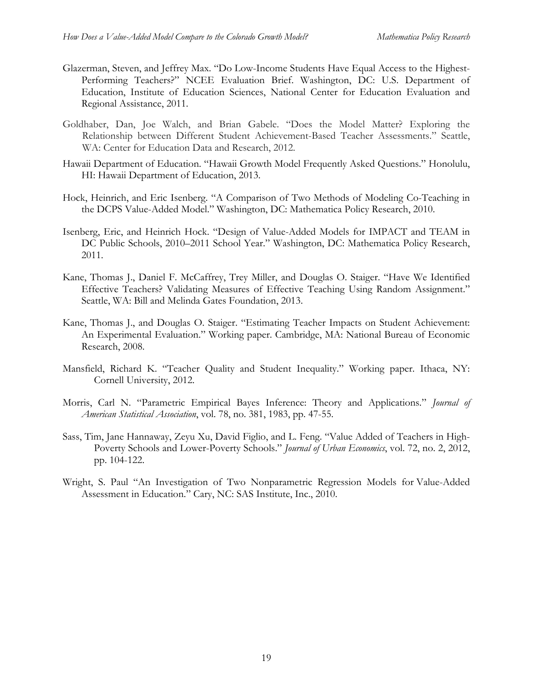- Glazerman, Steven, and Jeffrey Max. "Do Low-Income Students Have Equal Access to the Highest-Performing Teachers?" NCEE Evaluation Brief. Washington, DC: U.S. Department of Education, Institute of Education Sciences, National Center for Education Evaluation and Regional Assistance, 2011.
- Goldhaber, Dan, Joe Walch, and Brian Gabele. "Does the Model Matter? Exploring the Relationship between Different Student Achievement-Based Teacher Assessments." Seattle, WA: Center for Education Data and Research, 2012.
- Hawaii Department of Education. "Hawaii Growth Model Frequently Asked Questions." Honolulu, HI: Hawaii Department of Education, 2013.
- Hock, Heinrich, and Eric Isenberg. "A Comparison of Two Methods of Modeling Co-Teaching in the DCPS Value-Added Model." Washington, DC: Mathematica Policy Research, 2010.
- Isenberg, Eric, and Heinrich Hock. "Design of Value-Added Models for IMPACT and TEAM in DC Public Schools, 2010–2011 School Year." Washington, DC: Mathematica Policy Research, 2011.
- Kane, Thomas J., Daniel F. McCaffrey, Trey Miller, and Douglas O. Staiger. "Have We Identified Effective Teachers? Validating Measures of Effective Teaching Using Random Assignment." Seattle, WA: Bill and Melinda Gates Foundation, 2013.
- Kane, Thomas J., and Douglas O. Staiger. "Estimating Teacher Impacts on Student Achievement: An Experimental Evaluation." Working paper. Cambridge, MA: National Bureau of Economic Research, 2008.
- Mansfield, Richard K. "Teacher Quality and Student Inequality." Working paper. Ithaca, NY: Cornell University, 2012.
- Morris, Carl N. "Parametric Empirical Bayes Inference: Theory and Applications." *Journal of American Statistical Association*, vol. 78, no. 381, 1983, pp. 47-55.
- Sass, Tim, Jane Hannaway, Zeyu Xu, David Figlio, and L. Feng. "Value Added of Teachers in High-Poverty Schools and Lower-Poverty Schools." *Journal of Urban Economics*, vol. 72, no. 2, 2012, pp. 104-122.
- Wright, S. Paul "An Investigation of Two Nonparametric Regression Models for Value-Added Assessment in Education." Cary, NC: SAS Institute, Inc., 2010.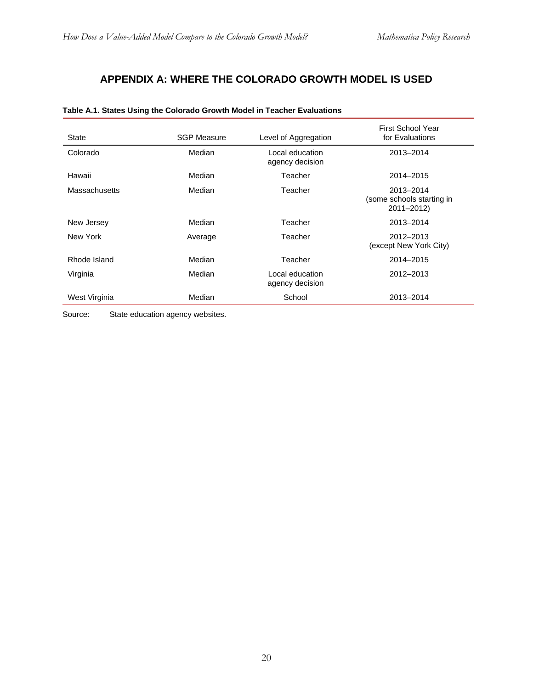# **APPENDIX A: WHERE THE COLORADO GROWTH MODEL IS USED**

| State                | <b>SGP Measure</b> | Level of Aggregation               | First School Year<br>for Evaluations                 |
|----------------------|--------------------|------------------------------------|------------------------------------------------------|
| Colorado             | Median             | Local education<br>agency decision | 2013-2014                                            |
| Hawaii               | Median             | Teacher                            | 2014-2015                                            |
| <b>Massachusetts</b> | Median             | Teacher                            | 2013-2014<br>(some schools starting in<br>2011-2012) |
| New Jersey           | Median             | Teacher                            | 2013-2014                                            |
| New York             | Average            | Teacher                            | 2012-2013<br>(except New York City)                  |
| Rhode Island         | Median             | Teacher                            | 2014-2015                                            |
| Virginia             | Median             | Local education<br>agency decision | 2012-2013                                            |
| West Virginia        | Median             | School                             | 2013-2014                                            |

#### **Table A.1. States Using the Colorado Growth Model in Teacher Evaluations**

Source: State education agency websites.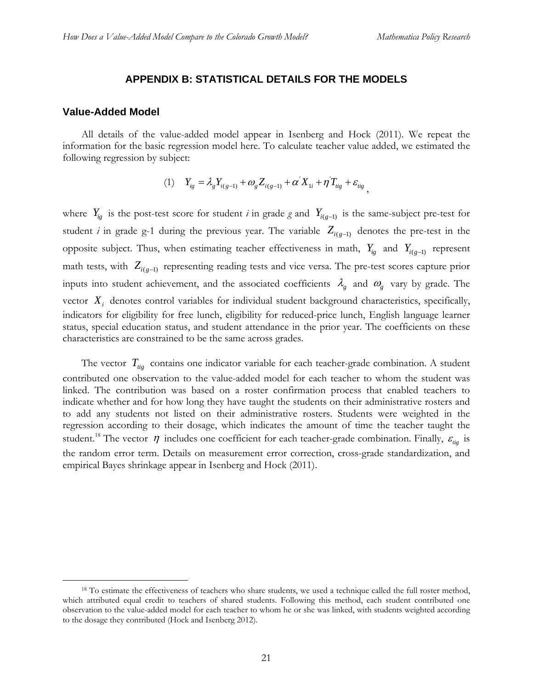#### **APPENDIX B: STATISTICAL DETAILS FOR THE MODELS**

#### **Value-Added Model**

All details of the value-added model appear in Isenberg and Hock (2011). We repeat the information for the basic regression model here. To calculate teacher value added, we estimated the following regression by subject:

(1) 
$$
Y_{ig} = \lambda_g Y_{i(g-1)} + \omega_g Z_{i(g-1)} + \alpha' X_{1i} + \eta' T_{iig} + \varepsilon_{iig} ,
$$

where  $Y_{ig}$  is the post-test score for student *i* in grade *g* and  $Y_{i(g-1)}$  is the same-subject pre-test for student *i* in grade g-1 during the previous year. The variable  $Z_{i(g-1)}$  denotes the pre-test in the opposite subject. Thus, when estimating teacher effectiveness in math,  $Y_{ig}$  and  $Y_{i(g-1)}$  represent math tests, with  $Z_{i(g-1)}$  representing reading tests and vice versa. The pre-test scores capture prior inputs into student achievement, and the associated coefficients  $\lambda_g$  and  $\omega_g$  vary by grade. The vector  $X_i$  denotes control variables for individual student background characteristics, specifically, indicators for eligibility for free lunch, eligibility for reduced-price lunch, English language learner status, special education status, and student attendance in the prior year. The coefficients on these characteristics are constrained to be the same across grades.

The vector  $T_{tig}$  contains one indicator variable for each teacher-grade combination. A student contributed one observation to the value-added model for each teacher to whom the student was linked. The contribution was based on a roster confirmation process that enabled teachers to indicate whether and for how long they have taught the students on their administrative rosters and to add any students not listed on their administrative rosters. Students were weighted in the regression according to their dosage, which indicates the amount of time the teacher taught the student.<sup>18</sup> The vector  $\eta$  includes one coefficient for each teacher-grade combination. Finally,  $\varepsilon_{\rm{rig}}$  is the random error term. Details on measurement error correction, cross-grade standardization, and empirical Bayes shrinkage appear in Isenberg and Hock (2011).

<sup>&</sup>lt;sup>18</sup> To estimate the effectiveness of teachers who share students, we used a technique called the full roster method, which attributed equal credit to teachers of shared students. Following this method, each student contributed one observation to the value-added model for each teacher to whom he or she was linked, with students weighted according to the dosage they contributed (Hock and Isenberg 2012).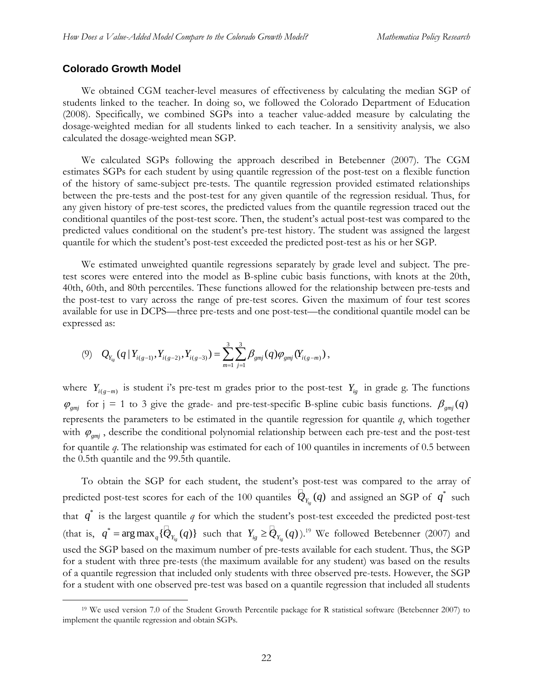#### **Colorado Growth Model**

We obtained CGM teacher-level measures of effectiveness by calculating the median SGP of students linked to the teacher. In doing so, we followed the Colorado Department of Education (2008). Specifically, we combined SGPs into a teacher value-added measure by calculating the dosage-weighted median for all students linked to each teacher. In a sensitivity analysis, we also calculated the dosage-weighted mean SGP.

We calculated SGPs following the approach described in Betebenner (2007). The CGM estimates SGPs for each student by using quantile regression of the post-test on a flexible function of the history of same-subject pre-tests. The quantile regression provided estimated relationships between the pre-tests and the post-test for any given quantile of the regression residual. Thus, for any given history of pre-test scores, the predicted values from the quantile regression traced out the conditional quantiles of the post-test score. Then, the student's actual post-test was compared to the predicted values conditional on the student's pre-test history. The student was assigned the largest quantile for which the student's post-test exceeded the predicted post-test as his or her SGP.

We estimated unweighted quantile regressions separately by grade level and subject. The pretest scores were entered into the model as B-spline cubic basis functions, with knots at the 20th, 40th, 60th, and 80th percentiles. These functions allowed for the relationship between pre-tests and the post-test to vary across the range of pre-test scores. Given the maximum of four test scores available for use in DCPS—three pre-tests and one post-test—the conditional quantile model can be expressed as:

$$
(9) \quad Q_{Y_{ig}}(q | Y_{i(g-1)}, Y_{i(g-2)}, Y_{i(g-3)}) = \sum_{m=1}^{3} \sum_{j=1}^{3} \beta_{gmj}(q) \varphi_{gmj}(Y_{i(g-m)}),
$$

where  $Y_{i(g-m)}$  is student i's pre-test m grades prior to the post-test  $Y_{ig}$  in grade g. The functions  $\varphi_{\text{gmj}}$  for  $j = 1$  to 3 give the grade- and pre-test-specific B-spline cubic basis functions.  $\beta_{\text{gmi}}(q)$ represents the parameters to be estimated in the quantile regression for quantile *q*, which together with  $\varphi_{gmj}$ , describe the conditional polynomial relationship between each pre-test and the post-test for quantile *q*. The relationship was estimated for each of 100 quantiles in increments of 0.5 between the 0.5th quantile and the 99.5th quantile.

To obtain the SGP for each student, the student's post-test was compared to the array of predicted post-test scores for each of the 100 quantiles  $\mathcal{Q}_{Y_{i_g}}(q)$  and assigned an SGP of  $q^*$  such that  $q^*$  is the largest quantile q for which the student's post-test exceeded the predicted post-test (that is,  $q^* = \arg \max_{q} {\{\phi_{Y_{i_g}}(q)\}}$  such that  $Y_{i_g} \geq {\phi_{Y_{i_g}}(q)\}}$ .<sup>19</sup> We followed Betebenner (2007) and used the SGP based on the maximum number of pre-tests available for each student. Thus, the SGP for a student with three pre-tests (the maximum available for any student) was based on the results of a quantile regression that included only students with three observed pre-tests. However, the SGP for a student with one observed pre-test was based on a quantile regression that included all students

 <sup>19</sup> We used version 7.0 of the Student Growth Percentile package for R statistical software (Betebenner 2007) to implement the quantile regression and obtain SGPs.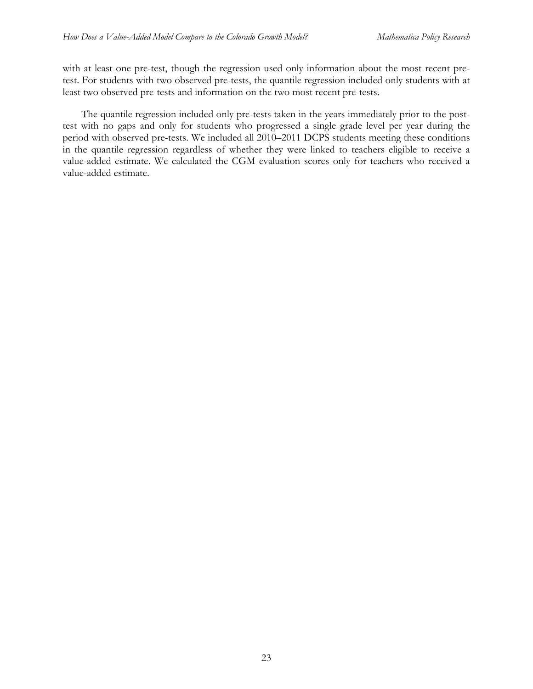with at least one pre-test, though the regression used only information about the most recent pretest. For students with two observed pre-tests, the quantile regression included only students with at least two observed pre-tests and information on the two most recent pre-tests.

The quantile regression included only pre-tests taken in the years immediately prior to the posttest with no gaps and only for students who progressed a single grade level per year during the period with observed pre-tests. We included all 2010–2011 DCPS students meeting these conditions in the quantile regression regardless of whether they were linked to teachers eligible to receive a value-added estimate. We calculated the CGM evaluation scores only for teachers who received a value-added estimate.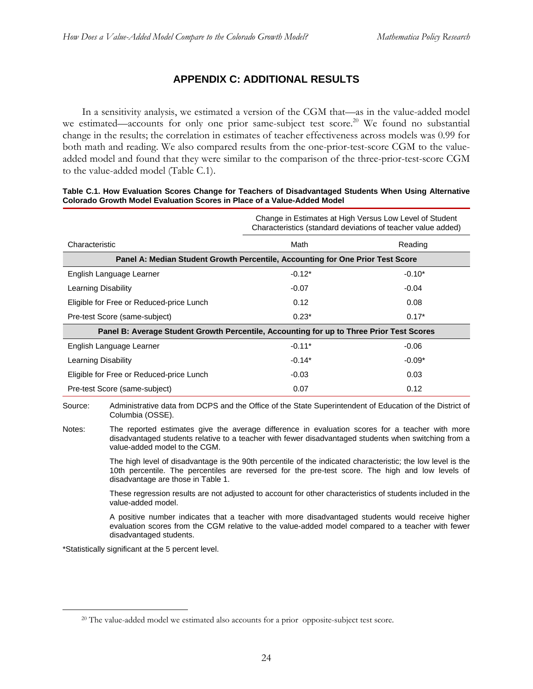# **APPENDIX C: ADDITIONAL RESULTS**

In a sensitivity analysis, we estimated a version of the CGM that—as in the value-added model we estimated—accounts for only one prior same-subject test score.<sup>20</sup> We found no substantial change in the results; the correlation in estimates of teacher effectiveness across models was 0.99 for both math and reading. We also compared results from the one-prior-test-score CGM to the valueadded model and found that they were similar to the comparison of the three-prior-test-score CGM to the value-added model (Table C.1).

#### **Table C.1. How Evaluation Scores Change for Teachers of Disadvantaged Students When Using Alternative Colorado Growth Model Evaluation Scores in Place of a Value-Added Model**

|                                                                                          | Change in Estimates at High Versus Low Level of Student<br>Characteristics (standard deviations of teacher value added) |          |  |  |
|------------------------------------------------------------------------------------------|-------------------------------------------------------------------------------------------------------------------------|----------|--|--|
| Characteristic                                                                           | Math                                                                                                                    | Reading  |  |  |
| Panel A: Median Student Growth Percentile, Accounting for One Prior Test Score           |                                                                                                                         |          |  |  |
| English Language Learner                                                                 | $-0.12*$                                                                                                                | $-0.10*$ |  |  |
| Learning Disability                                                                      | $-0.07$                                                                                                                 | $-0.04$  |  |  |
| Eligible for Free or Reduced-price Lunch                                                 | 0.12                                                                                                                    | 0.08     |  |  |
| Pre-test Score (same-subject)                                                            | $0.23*$                                                                                                                 | $0.17*$  |  |  |
| Panel B: Average Student Growth Percentile, Accounting for up to Three Prior Test Scores |                                                                                                                         |          |  |  |
| English Language Learner                                                                 | $-0.11*$                                                                                                                | $-0.06$  |  |  |
| Learning Disability                                                                      | $-0.14*$                                                                                                                | $-0.09*$ |  |  |
| Eligible for Free or Reduced-price Lunch                                                 | $-0.03$                                                                                                                 | 0.03     |  |  |
| Pre-test Score (same-subject)                                                            | 0.07                                                                                                                    | 0.12     |  |  |
|                                                                                          |                                                                                                                         |          |  |  |

Source: Administrative data from DCPS and the Office of the State Superintendent of Education of the District of Columbia (OSSE).

Notes: The reported estimates give the average difference in evaluation scores for a teacher with more disadvantaged students relative to a teacher with fewer disadvantaged students when switching from a value-added model to the CGM.

> The high level of disadvantage is the 90th percentile of the indicated characteristic; the low level is the 10th percentile. The percentiles are reversed for the pre-test score. The high and low levels of disadvantage are those in Table 1.

> These regression results are not adjusted to account for other characteristics of students included in the value-added model.

> A positive number indicates that a teacher with more disadvantaged students would receive higher evaluation scores from the CGM relative to the value-added model compared to a teacher with fewer disadvantaged students.

\*Statistically significant at the 5 percent level.

<sup>&</sup>lt;sup>20</sup> The value-added model we estimated also accounts for a prior opposite-subject test score.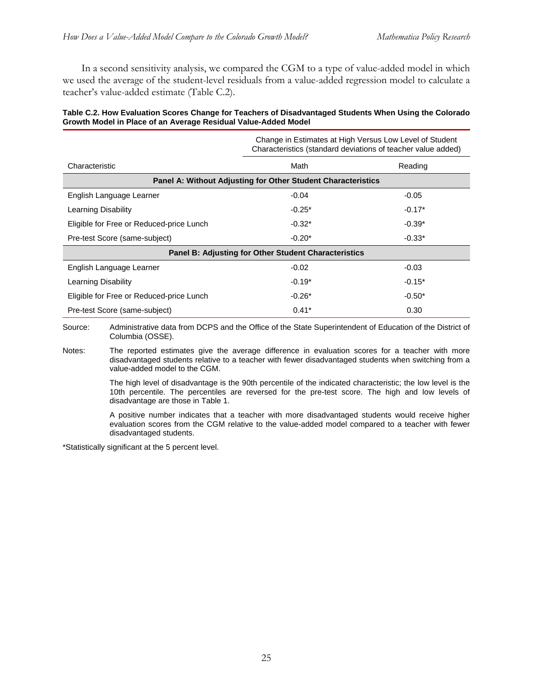In a second sensitivity analysis, we compared the CGM to a type of value-added model in which we used the average of the student-level residuals from a value-added regression model to calculate a teacher's value-added estimate (Table C.2).

#### **Table C.2. How Evaluation Scores Change for Teachers of Disadvantaged Students When Using the Colorado Growth Model in Place of an Average Residual Value-Added Model**

|                                                              | Change in Estimates at High Versus Low Level of Student<br>Characteristics (standard deviations of teacher value added) |          |  |
|--------------------------------------------------------------|-------------------------------------------------------------------------------------------------------------------------|----------|--|
| Characteristic                                               | Math                                                                                                                    | Reading  |  |
| Panel A: Without Adjusting for Other Student Characteristics |                                                                                                                         |          |  |
| English Language Learner                                     | $-0.04$                                                                                                                 | $-0.05$  |  |
| Learning Disability                                          | $-0.25*$                                                                                                                | $-0.17*$ |  |
| Eligible for Free or Reduced-price Lunch                     | $-0.32*$                                                                                                                | $-0.39*$ |  |
| Pre-test Score (same-subject)                                | $-0.20*$                                                                                                                | $-0.33*$ |  |
| <b>Panel B: Adjusting for Other Student Characteristics</b>  |                                                                                                                         |          |  |
| English Language Learner                                     | $-0.02$                                                                                                                 | $-0.03$  |  |
| Learning Disability                                          | $-0.19*$                                                                                                                | $-0.15*$ |  |
| Eligible for Free or Reduced-price Lunch                     | $-0.26*$                                                                                                                | $-0.50*$ |  |
| Pre-test Score (same-subject)                                | $0.41*$                                                                                                                 | 0.30     |  |

Source: Administrative data from DCPS and the Office of the State Superintendent of Education of the District of Columbia (OSSE).

Notes: The reported estimates give the average difference in evaluation scores for a teacher with more disadvantaged students relative to a teacher with fewer disadvantaged students when switching from a value-added model to the CGM.

> The high level of disadvantage is the 90th percentile of the indicated characteristic; the low level is the 10th percentile. The percentiles are reversed for the pre-test score. The high and low levels of disadvantage are those in Table 1.

> A positive number indicates that a teacher with more disadvantaged students would receive higher evaluation scores from the CGM relative to the value-added model compared to a teacher with fewer disadvantaged students.

\*Statistically significant at the 5 percent level.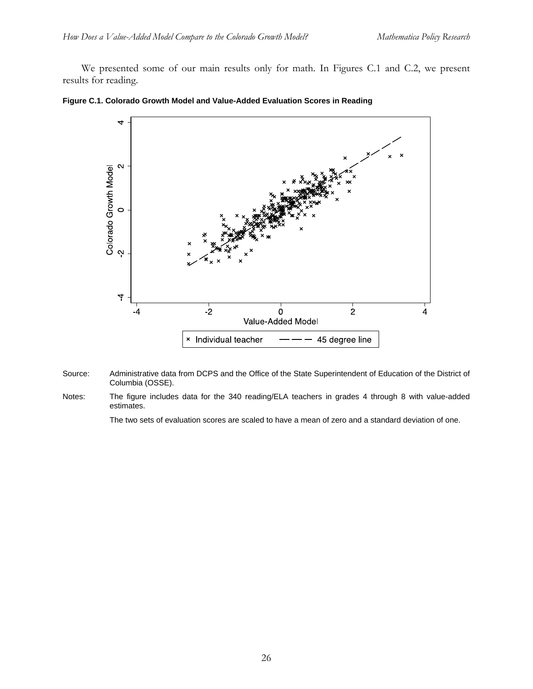We presented some of our main results only for math. In Figures C.1 and C.2, we present results for reading.





- Source: Administrative data from DCPS and the Office of the State Superintendent of Education of the District of Columbia (OSSE).
- Notes: The figure includes data for the 340 reading/ELA teachers in grades 4 through 8 with value-added estimates.

The two sets of evaluation scores are scaled to have a mean of zero and a standard deviation of one.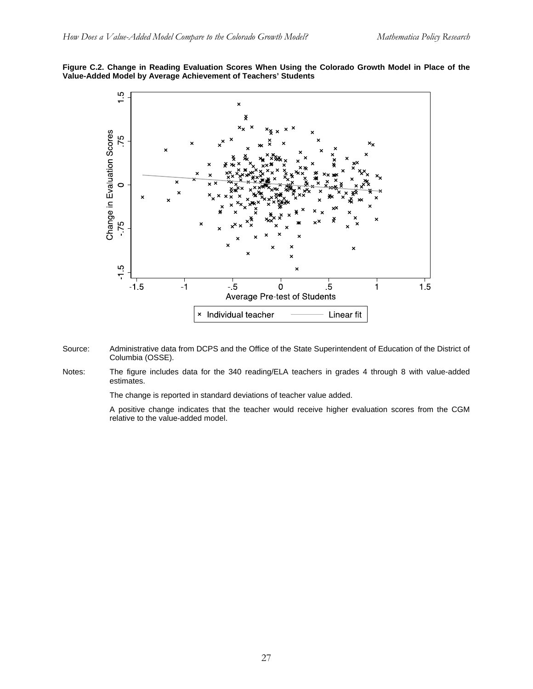#### **Figure C.2. Change in Reading Evaluation Scores When Using the Colorado Growth Model in Place of the Value-Added Model by Average Achievement of Teachers' Students**



- Source: Administrative data from DCPS and the Office of the State Superintendent of Education of the District of Columbia (OSSE).
- Notes: The figure includes data for the 340 reading/ELA teachers in grades 4 through 8 with value-added estimates.

The change is reported in standard deviations of teacher value added.

 A positive change indicates that the teacher would receive higher evaluation scores from the CGM relative to the value-added model.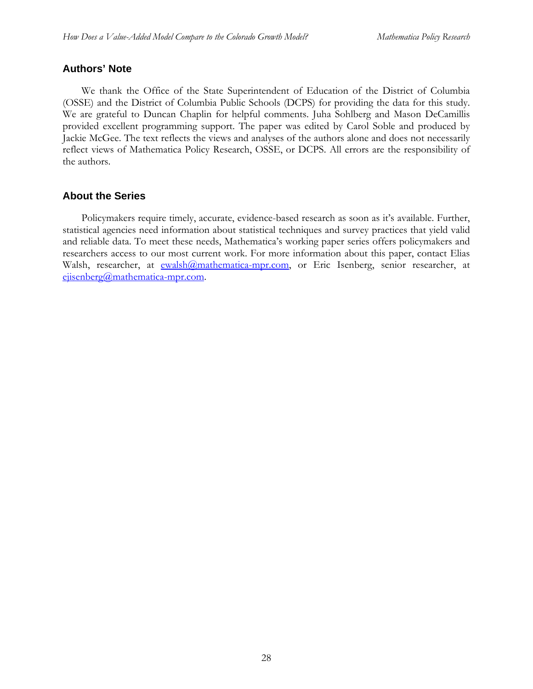# **Authors' Note**

 We thank the Office of the State Superintendent of Education of the District of Columbia (OSSE) and the District of Columbia Public Schools (DCPS) for providing the data for this study. We are grateful to Duncan Chaplin for helpful comments. Juha Sohlberg and Mason DeCamillis provided excellent programming support. The paper was edited by Carol Soble and produced by Jackie McGee. The text reflects the views and analyses of the authors alone and does not necessarily reflect views of Mathematica Policy Research, OSSE, or DCPS. All errors are the responsibility of the authors.

# **About the Series**

 Policymakers require timely, accurate, evidence-based research as soon as it's available. Further, statistical agencies need information about statistical techniques and survey practices that yield valid and reliable data. To meet these needs, Mathematica's working paper series offers policymakers and researchers access to our most current work. For more information about this paper, contact Elias Walsh, researcher, at ewalsh@mathematica-mpr.com, or Eric Isenberg, senior researcher, at ejisenberg@mathematica-mpr.com.